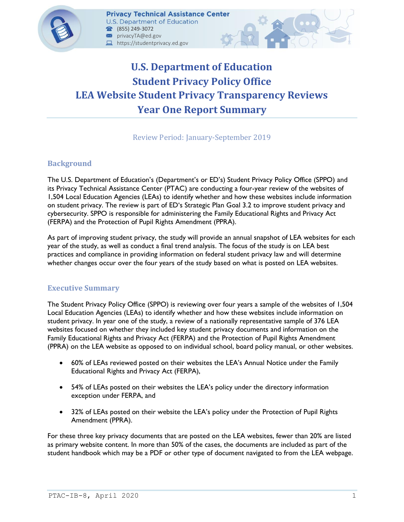

**Privacy Technical Assistance Center U.S. Department of Education** (855) 249-3072 [privacyTA@ed.gov](mailto:privacyTA@ed.gov) https://studentprivacy.ed.gov

# **U.S. Department of Education Student Privacy Policy Office LEA Website Student Privacy Transparency Reviews Year One Report Summary**

Review Period: January-September 2019

# **Background**

The U.S. Department of Education's (Department's or ED's) Student Privacy Policy Office (SPPO) and its Privacy Technical Assistance Center (PTAC) are conducting a four-year review of the websites of 1,504 Local Education Agencies (LEAs) to identify whether and how these websites include information on student privacy. The review is part of ED's Strategic Plan Goal 3.2 to improve student privacy and cybersecurity. SPPO is responsible for administering the Family Educational Rights and Privacy Act (FERPA) and the Protection of Pupil Rights Amendment (PPRA).

As part of improving student privacy, the study will provide an annual snapshot of LEA websites for each year of the study, as well as conduct a final trend analysis. The focus of the study is on LEA best practices and compliance in providing information on federal student privacy law and will determine whether changes occur over the four years of the study based on what is posted on LEA websites.

# **Executive Summary**

The Student Privacy Policy Office (SPPO) is reviewing over four years a sample of the websites of 1,504 Local Education Agencies (LEAs) to identify whether and how these websites include information on student privacy. In year one of the study, a review of a nationally representative sample of 376 LEA websites focused on whether they included key student privacy documents and information on the Family Educational Rights and Privacy Act (FERPA) and the Protection of Pupil Rights Amendment (PPRA) on the LEA website as opposed to on individual school, board policy manual, or other websites.

- 60% of LEAs reviewed posted on their websites the LEA's Annual Notice under the Family Educational Rights and Privacy Act (FERPA),
- 54% of LEAs posted on their websites the LEA's policy under the directory information exception under FERPA, and
- 32% of LEAs posted on their website the LEA's policy under the Protection of Pupil Rights Amendment (PPRA).

For these three key privacy documents that are posted on the LEA websites, fewer than 20% are listed as primary website content. In more than 50% of the cases, the documents are included as part of the student handbook which may be a PDF or other type of document navigated to from the LEA webpage.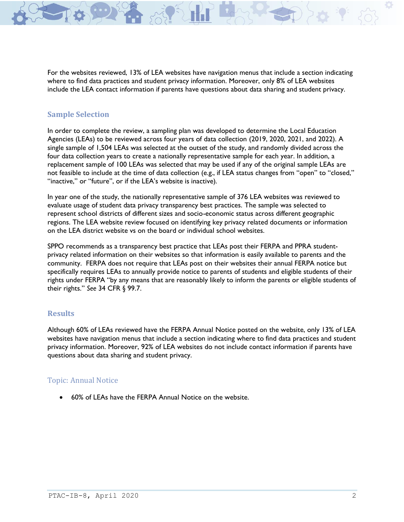For the websites reviewed, 13% of LEA websites have navigation menus that include a section indicating where to find data practices and student privacy information. Moreover, only 8% of LEA websites include the LEA contact information if parents have questions about data sharing and student privacy.

#### **Sample Selection**

In order to complete the review, a sampling plan was developed to determine the Local Education Agencies (LEAs) to be reviewed across four years of data collection (2019, 2020, 2021, and 2022). A single sample of 1,504 LEAs was selected at the outset of the study, and randomly divided across the four data collection years to create a nationally representative sample for each year. In addition, a replacement sample of 100 LEAs was selected that may be used if any of the original sample LEAs are not feasible to include at the time of data collection (e.g., if LEA status changes from "open" to "closed," "inactive," or "future", or if the LEA's website is inactive).

In year one of the study, the nationally representative sample of 376 LEA websites was reviewed to evaluate usage of student data privacy transparency best practices. The sample was selected to represent school districts of different sizes and socio-economic status across different geographic regions. The LEA website review focused on identifying key privacy related documents or information on the LEA district website vs on the board or individual school websites.

SPPO recommends as a transparency best practice that LEAs post their FERPA and PPRA studentprivacy related information on their websites so that information is easily available to parents and the community. FERPA does not require that LEAs post on their websites their annual FERPA notice but specifically requires LEAs to annually provide notice to parents of students and eligible students of their rights under FERPA "by any means that are reasonably likely to inform the parents or eligible students of their rights." *See* 34 CFR § 99.7.

#### **Results**

Although 60% of LEAs reviewed have the FERPA Annual Notice posted on the website, only 13% of LEA websites have navigation menus that include a section indicating where to find data practices and student privacy information. Moreover, 92% of LEA websites do not include contact information if parents have questions about data sharing and student privacy.

#### Topic: Annual Notice

• 60% of LEAs have the FERPA Annual Notice on the website.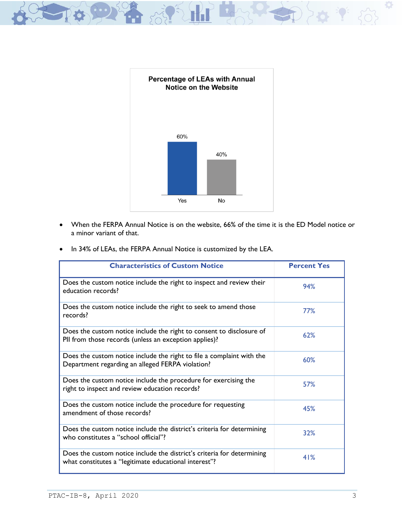



- When the FERPA Annual Notice is on the website, 66% of the time it is the ED Model notice or a minor variant of that.
- In 34% of LEAs, the FERPA Annual Notice is customized by the LEA.

| <b>Characteristics of Custom Notice</b>                                                                                         | <b>Percent Yes</b> |
|---------------------------------------------------------------------------------------------------------------------------------|--------------------|
| Does the custom notice include the right to inspect and review their<br>education records?                                      | 94%                |
| Does the custom notice include the right to seek to amend those<br>records?                                                     | 77%                |
| Does the custom notice include the right to consent to disclosure of<br>PII from those records (unless an exception applies)?   | 62%                |
| Does the custom notice include the right to file a complaint with the<br>Department regarding an alleged FERPA violation?       | 60%                |
| Does the custom notice include the procedure for exercising the<br>right to inspect and review education records?               | 57%                |
| Does the custom notice include the procedure for requesting<br>amendment of those records?                                      | 45%                |
| Does the custom notice include the district's criteria for determining<br>who constitutes a "school official"?                  | 32%                |
| Does the custom notice include the district's criteria for determining<br>what constitutes a "legitimate educational interest"? | 41%                |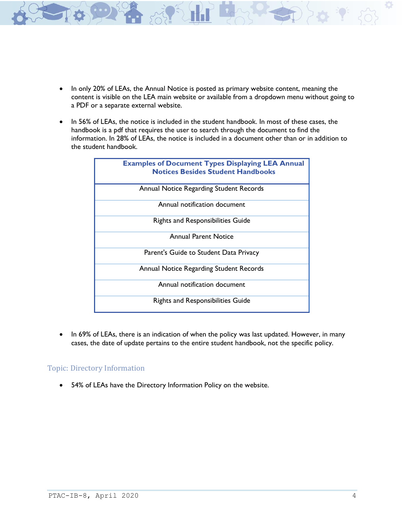- In only 20% of LEAs, the Annual Notice is posted as primary website content, meaning the content is visible on the LEA main website or available from a dropdown menu without going to a PDF or a separate external website.
- In 56% of LEAs, the notice is included in the student handbook. In most of these cases, the handbook is a pdf that requires the user to search through the document to find the information. In 28% of LEAs, the notice is included in a document other than or in addition to the student handbook.

| <b>Examples of Document Types Displaying LEA Annual</b><br><b>Notices Besides Student Handbooks</b> |  |
|-----------------------------------------------------------------------------------------------------|--|
| Annual Notice Regarding Student Records                                                             |  |
| Annual notification document                                                                        |  |
| <b>Rights and Responsibilities Guide</b>                                                            |  |
| <b>Annual Parent Notice</b>                                                                         |  |
| Parent's Guide to Student Data Privacy                                                              |  |
| Annual Notice Regarding Student Records                                                             |  |
| Annual notification document                                                                        |  |
| <b>Rights and Responsibilities Guide</b>                                                            |  |

• In 69% of LEAs, there is an indication of when the policy was last updated. However, in many cases, the date of update pertains to the entire student handbook, not the specific policy.

## Topic: Directory Information

• 54% of LEAs have the Directory Information Policy on the website.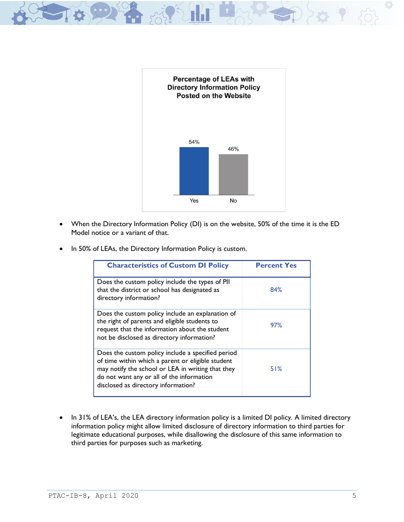



- When the Directory Information Policy (DI) is on the website, 50% of the time it is the ED Model notice or a variant of that.
- In 50% of LEAs, the Directory Information Policy is custom.

| <b>Characteristics of Custom DI Policy</b>                                                                                                                                                                                                      | <b>Percent Yes</b> |
|-------------------------------------------------------------------------------------------------------------------------------------------------------------------------------------------------------------------------------------------------|--------------------|
| Does the custom policy include the types of PII<br>that the district or school has designated as<br>directory information?                                                                                                                      | 84%                |
| Does the custom policy include an explanation of<br>the right of parents and eligible students to<br>request that the information about the student<br>not be disclosed as directory information?                                               | 97%                |
| Does the custom policy include a specified period<br>of time within which a parent or eligible student<br>may notify the school or LEA in writing that they<br>do not want any or all of the information<br>disclosed as directory information? | 51%                |

• In 31% of LEA's, the LEA directory information policy is a limited DI policy. A limited directory information policy might allow limited disclosure of directory information to third parties for legitimate educational purposes, while disallowing the disclosure of this same information to third parties for purposes such as marketing.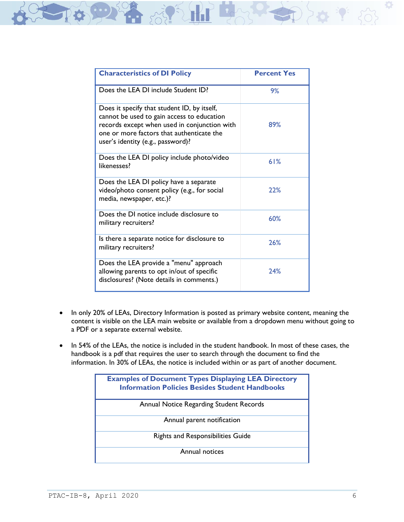| <b>Characteristics of DI Policy</b>                                                                                                                                                                                         | <b>Percent Yes</b> |
|-----------------------------------------------------------------------------------------------------------------------------------------------------------------------------------------------------------------------------|--------------------|
| Does the LEA DI include Student ID?                                                                                                                                                                                         | 9%                 |
| Does it specify that student ID, by itself,<br>cannot be used to gain access to education<br>records except when used in conjunction with<br>one or more factors that authenticate the<br>user's identity (e.g., password)? | 89%                |
| Does the LEA DI policy include photo/video<br>likenesses?                                                                                                                                                                   | 61%                |
| Does the LEA DI policy have a separate<br>video/photo consent policy (e.g., for social<br>media, newspaper, etc.)?                                                                                                          | 22%                |
| Does the DI notice include disclosure to<br>military recruiters?                                                                                                                                                            | 60%                |
| Is there a separate notice for disclosure to<br>military recruiters?                                                                                                                                                        | 76%                |
| Does the LEA provide a "menu" approach<br>allowing parents to opt in/out of specific<br>disclosures? (Note details in comments.)                                                                                            | 24%                |

- In only 20% of LEAs, Directory Information is posted as primary website content, meaning the content is visible on the LEA main website or available from a dropdown menu without going to a PDF or a separate external website.
- In 54% of the LEAs, the notice is included in the student handbook. In most of these cases, the handbook is a pdf that requires the user to search through the document to find the information. In 30% of LEAs, the notice is included within or as part of another document.

| <b>Examples of Document Types Displaying LEA Directory</b><br><b>Information Policies Besides Student Handbooks</b> |  |
|---------------------------------------------------------------------------------------------------------------------|--|
| Annual Notice Regarding Student Records                                                                             |  |
| Annual parent notification                                                                                          |  |
| <b>Rights and Responsibilities Guide</b>                                                                            |  |
| Annual notices                                                                                                      |  |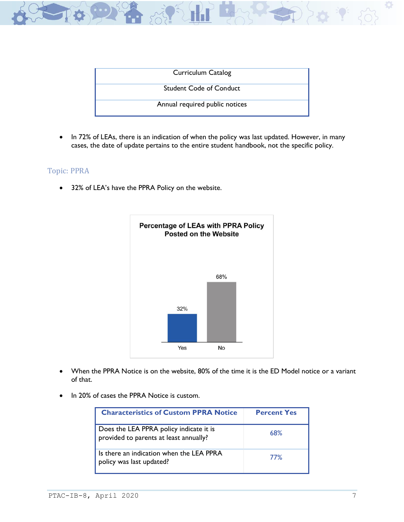

| <b>Curriculum Catalog</b>      |
|--------------------------------|
| <b>Student Code of Conduct</b> |
| Annual required public notices |

• In 72% of LEAs, there is an indication of when the policy was last updated. However, in many cases, the date of update pertains to the entire student handbook, not the specific policy.

#### Topic: PPRA

• 32% of LEA's have the PPRA Policy on the website.



- When the PPRA Notice is on the website, 80% of the time it is the ED Model notice or a variant of that.
- In 20% of cases the PPRA Notice is custom.

| <b>Characteristics of Custom PPRA Notice</b>                                      | <b>Percent Yes</b> |
|-----------------------------------------------------------------------------------|--------------------|
| Does the LEA PPRA policy indicate it is<br>provided to parents at least annually? | <b>68%</b>         |
| Is there an indication when the LEA PPRA<br>policy was last updated?              | 77%                |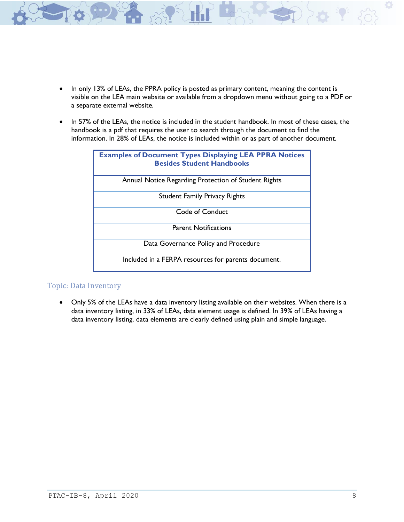- In only 13% of LEAs, the PPRA policy is posted as primary content, meaning the content is visible on the LEA main website or available from a dropdown menu without going to a PDF or a separate external website.
- In 57% of the LEAs, the notice is included in the student handbook. In most of these cases, the handbook is a pdf that requires the user to search through the document to find the information. In 28% of LEAs, the notice is included within or as part of another document.

| <b>Examples of Document Types Displaying LEA PPRA Notices</b><br><b>Besides Student Handbooks</b> |
|---------------------------------------------------------------------------------------------------|
| Annual Notice Regarding Protection of Student Rights                                              |
| <b>Student Family Privacy Rights</b>                                                              |
| Code of Conduct                                                                                   |
| <b>Parent Notifications</b>                                                                       |
| Data Governance Policy and Procedure                                                              |
| Included in a FERPA resources for parents document.                                               |

#### Topic: Data Inventory

• Only 5% of the LEAs have a data inventory listing available on their websites. When there is a data inventory listing, in 33% of LEAs, data element usage is defined. In 39% of LEAs having a data inventory listing, data elements are clearly defined using plain and simple language.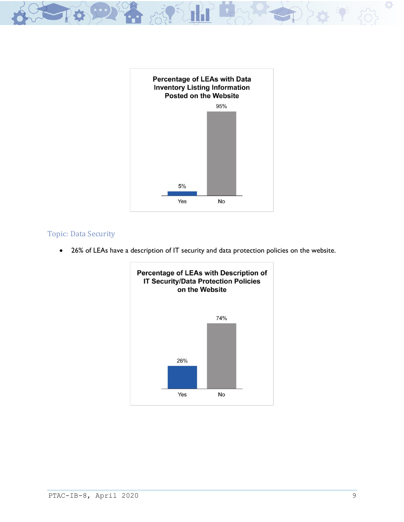



## Topic: Data Security

• 26% of LEAs have a description of IT security and data protection policies on the website.

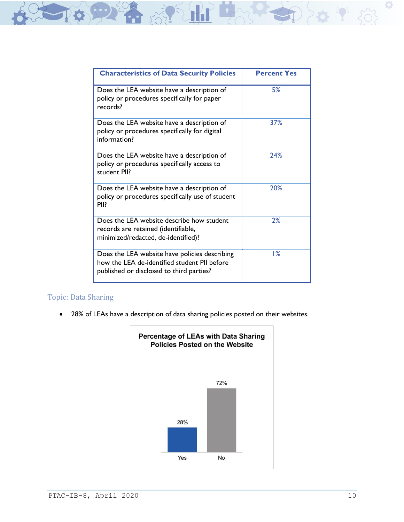| <b>Characteristics of Data Security Policies</b>                                                                                          | <b>Percent Yes</b> |
|-------------------------------------------------------------------------------------------------------------------------------------------|--------------------|
| Does the LEA website have a description of<br>policy or procedures specifically for paper<br>records?                                     | 5%                 |
| Does the LEA website have a description of<br>policy or procedures specifically for digital<br>information?                               | 37%                |
| Does the LEA website have a description of<br>policy or procedures specifically access to<br>student PII?                                 | 24%                |
| Does the LEA website have a description of<br>policy or procedures specifically use of student<br>PII?                                    | 20%                |
| Does the LEA website describe how student<br>records are retained (identifiable,<br>minimized/redacted, de-identified)?                   | 2%                 |
| Does the LEA website have policies describing<br>how the LEA de-identified student PII before<br>published or disclosed to third parties? | $1\%$              |

## Topic: Data Sharing

• 28% of LEAs have a description of data sharing policies posted on their websites.



O.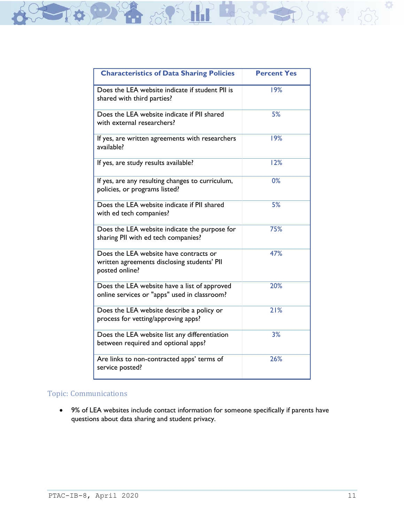| <b>Characteristics of Data Sharing Policies</b>                                                         | <b>Percent Yes</b> |
|---------------------------------------------------------------------------------------------------------|--------------------|
| Does the LEA website indicate if student PII is<br>shared with third parties?                           | 19%                |
| Does the LEA website indicate if PII shared<br>with external researchers?                               | 5%                 |
| If yes, are written agreements with researchers<br>available?                                           | 19%                |
| If yes, are study results available?                                                                    | 12%                |
| If yes, are any resulting changes to curriculum,<br>policies, or programs listed?                       | 0%                 |
| Does the LEA website indicate if PII shared<br>with ed tech companies?                                  | 5%                 |
| Does the LEA website indicate the purpose for<br>sharing PII with ed tech companies?                    | 75%                |
| Does the LEA website have contracts or<br>written agreements disclosing students' Pll<br>posted online? | 47%                |
| Does the LEA website have a list of approved<br>online services or "apps" used in classroom?            | 20%                |
| Does the LEA website describe a policy or<br>process for vetting/approving apps?                        | 21%                |
| Does the LEA website list any differentiation<br>between required and optional apps?                    | 3%                 |
| Are links to non-contracted apps' terms of<br>service posted?                                           | 26%                |

# Topic: Communications

• 9% of LEA websites include contact information for someone specifically if parents have questions about data sharing and student privacy.

Ö.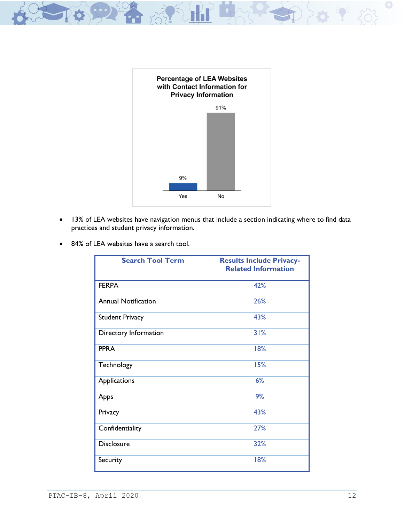



- 13% of LEA websites have navigation menus that include a section indicating where to find data practices and student privacy information.
- 84% of LEA websites have a search tool.

| <b>Search Tool Term</b>    | <b>Results Include Privacy-</b><br><b>Related Information</b> |
|----------------------------|---------------------------------------------------------------|
| <b>FERPA</b>               | 42%                                                           |
| <b>Annual Notification</b> | 26%                                                           |
| <b>Student Privacy</b>     | 43%                                                           |
| Directory Information      | 31%                                                           |
| <b>PPRA</b>                | 18%                                                           |
| Technology                 | 15%                                                           |
| Applications               | 6%                                                            |
| Apps                       | 9%                                                            |
| Privacy                    | 43%                                                           |
| Confidentiality            | 27%                                                           |
| <b>Disclosure</b>          | 32%                                                           |
| Security                   | 18%                                                           |